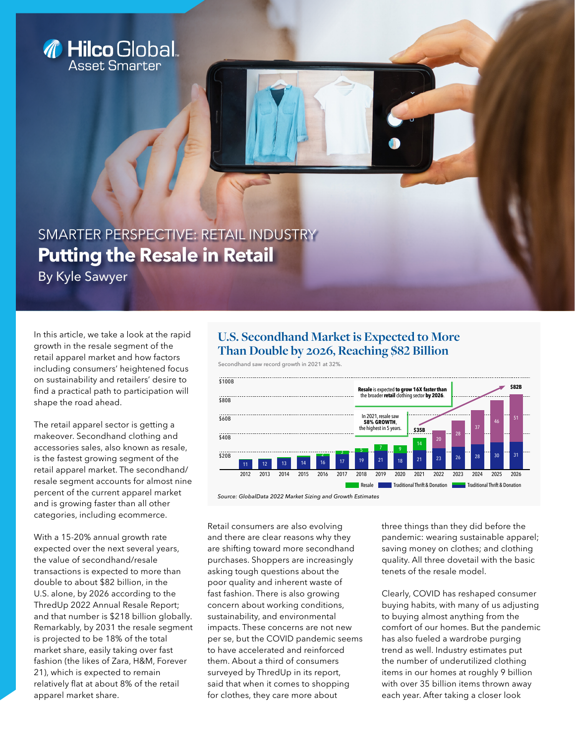

**Putting the Resale in Retail**  SMARTER PERSPECTIVE: RETAIL INDUSTRY

By Kyle Sawyer

In this article, we take a look at the rapid growth in the resale segment of the retail apparel market and how factors including consumers' heightened focus on sustainability and retailers' desire to find a practical path to participation will shape the road ahead.

The retail apparel sector is getting a makeover. Secondhand clothing and accessories sales, also known as resale, is the fastest growing segment of the retail apparel market. The secondhand/ resale segment accounts for almost nine percent of the current apparel market and is growing faster than all other categories, including ecommerce.

With a 15-20% annual growth rate expected over the next several years, the value of secondhand/resale transactions is expected to more than double to about \$82 billion, in the U.S. alone, by 2026 according to the ThredUp 2022 Annual Resale Report; and that number is \$218 billion globally. Remarkably, by 2031 the resale segment is projected to be 18% of the total market share, easily taking over fast fashion (the likes of Zara, H&M, Forever 21), which is expected to remain relatively flat at about 8% of the retail apparel market share.

# **U.S. Secondhand Market is Expected to More Than Double by 2026, Reaching \$82 Billion**

Secondhand saw record growth in 2021 at 32%.



Retail consumers are also evolving and there are clear reasons why they are shifting toward more secondhand purchases. Shoppers are increasingly asking tough questions about the poor quality and inherent waste of fast fashion. There is also growing concern about working conditions, sustainability, and environmental impacts. These concerns are not new per se, but the COVID pandemic seems to have accelerated and reinforced them. About a third of consumers surveyed by ThredUp in its report, said that when it comes to shopping for clothes, they care more about

three things than they did before the pandemic: wearing sustainable apparel; saving money on clothes; and clothing quality. All three dovetail with the basic tenets of the resale model.

Clearly, COVID has reshaped consumer buying habits, with many of us adjusting to buying almost anything from the comfort of our homes. But the pandemic has also fueled a wardrobe purging trend as well. Industry estimates put the number of underutilized clothing items in our homes at roughly 9 billion with over 35 billion items thrown away each year. After taking a closer look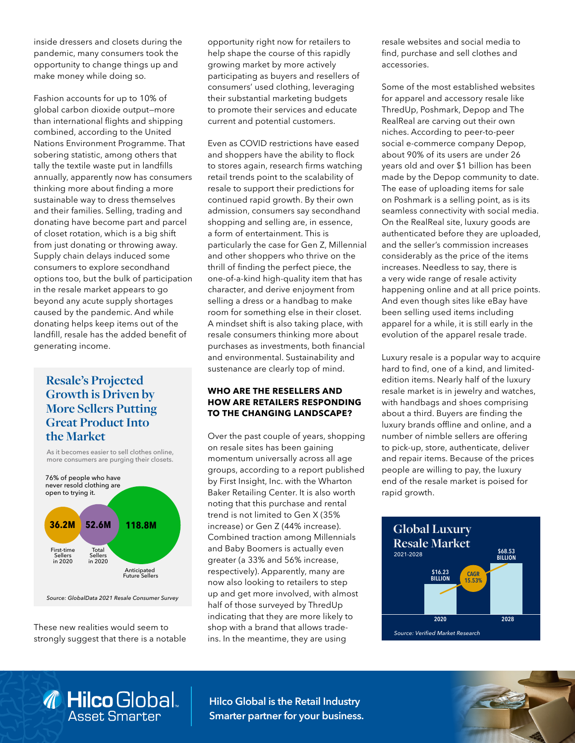inside dressers and closets during the pandemic, many consumers took the opportunity to change things up and make money while doing so.

Fashion accounts for up to 10% of global carbon dioxide output—more than international flights and shipping combined, according to the United Nations Environment Programme. That sobering statistic, among others that tally the textile waste put in landfills annually, apparently now has consumers thinking more about finding a more sustainable way to dress themselves and their families. Selling, trading and donating have become part and parcel of closet rotation, which is a big shift from just donating or throwing away. Supply chain delays induced some consumers to explore secondhand options too, but the bulk of participation in the resale market appears to go beyond any acute supply shortages caused by the pandemic. And while donating helps keep items out of the landfill, resale has the added benefit of generating income.

## **Resale's Projected Growth is Driven by More Sellers Putting Great Product Into the Market**

As it becomes easier to sell clothes online, more consumers are purging their closets.



*Source: GlobalData 2021 Resale Consumer Survey*

These new realities would seem to strongly suggest that there is a notable

**A** Hilco Global.

opportunity right now for retailers to help shape the course of this rapidly growing market by more actively participating as buyers and resellers of consumers' used clothing, leveraging their substantial marketing budgets to promote their services and educate current and potential customers.

Even as COVID restrictions have eased and shoppers have the ability to flock to stores again, research firms watching retail trends point to the scalability of resale to support their predictions for continued rapid growth. By their own admission, consumers say secondhand shopping and selling are, in essence, a form of entertainment. This is particularly the case for Gen Z, Millennial and other shoppers who thrive on the thrill of finding the perfect piece, the one-of-a-kind high-quality item that has character, and derive enjoyment from selling a dress or a handbag to make room for something else in their closet. A mindset shift is also taking place, with resale consumers thinking more about purchases as investments, both financial and environmental. Sustainability and sustenance are clearly top of mind.

## **WHO ARE THE RESELLERS AND HOW ARE RETAILERS RESPONDING TO THE CHANGING LANDSCAPE?**

Over the past couple of years, shopping on resale sites has been gaining momentum universally across all age groups, according to a report published by First Insight, Inc. with the Wharton Baker Retailing Center. It is also worth noting that this purchase and rental trend is not limited to Gen X (35% increase) or Gen Z (44% increase). Combined traction among Millennials and Baby Boomers is actually even greater (a 33% and 56% increase, respectively). Apparently, many are now also looking to retailers to step up and get more involved, with almost half of those surveyed by ThredUp indicating that they are more likely to shop with a brand that allows tradeins. In the meantime, they are using

resale websites and social media to find, purchase and sell clothes and accessories.

Some of the most established websites for apparel and accessory resale like ThredUp, Poshmark, Depop and The RealReal are carving out their own niches. According to peer-to-peer social e-commerce company Depop, about 90% of its users are under 26 years old and over \$1 billion has been made by the Depop community to date. The ease of uploading items for sale on Poshmark is a selling point, as is its seamless connectivity with social media. On the RealReal site, luxury goods are authenticated before they are uploaded, and the seller's commission increases considerably as the price of the items increases. Needless to say, there is a very wide range of resale activity happening online and at all price points. And even though sites like eBay have been selling used items including apparel for a while, it is still early in the evolution of the apparel resale trade.

Luxury resale is a popular way to acquire hard to find, one of a kind, and limitededition items. Nearly half of the luxury resale market is in jewelry and watches, with handbags and shoes comprising about a third. Buyers are finding the luxury brands offline and online, and a number of nimble sellers are offering to pick-up, store, authenticate, deliver and repair items. Because of the prices people are willing to pay, the luxury end of the resale market is poised for rapid growth.



**Hilco Global is the Retail Industry Smarter partner for your business.**